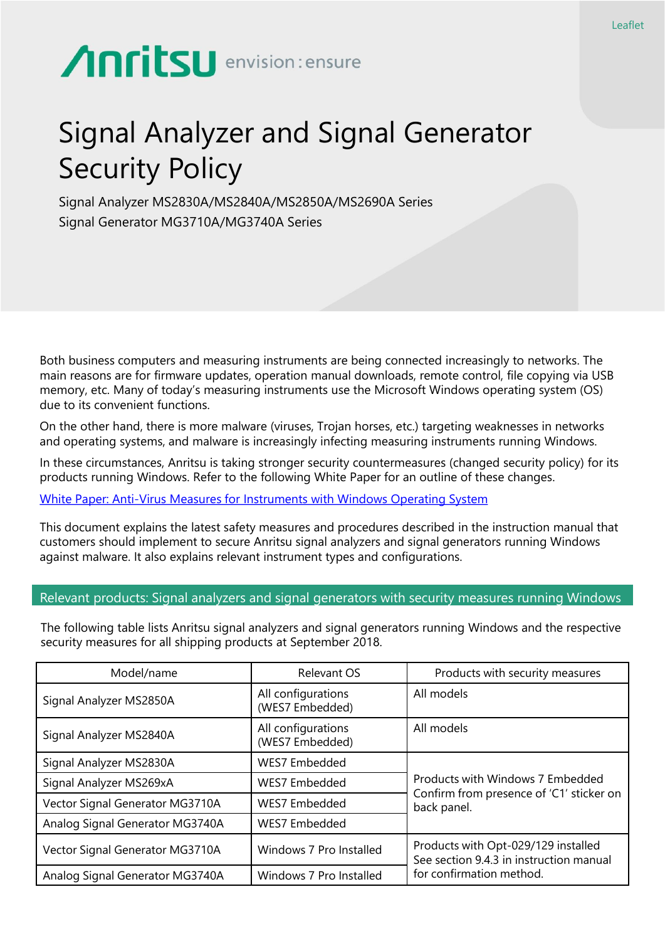# Anritsu envision: ensure

## Signal Analyzer and Signal Generator Security Policy

Signal Analyzer MS2830A/MS2840A/MS2850A/MS2690A Series Signal Generator MG3710A/MG3740A Series

Both business computers and measuring instruments are being connected increasingly to networks. The main reasons are for firmware updates, operation manual downloads, remote control, file copying via USB memory, etc. Many of today's measuring instruments use the Microsoft Windows operating system (OS) due to its convenient functions.

On the other hand, there is more malware (viruses, Trojan horses, etc.) targeting weaknesses in networks and operating systems, and malware is increasingly infecting measuring instruments running Windows.

In these circumstances, Anritsu is taking stronger security countermeasures (changed security policy) for its products running Windows. Refer to the following White Paper for an outline of these changes.

[White Paper: Anti-Virus Measures for Instruments with Windows Operating System](https://www.anritsu.com/en-gb/test-measurement/support/downloads/technical-notes/dwl19317)

This document explains the latest safety measures and procedures described in the instruction manual that customers should implement to secure Anritsu signal analyzers and signal generators running Windows against malware. It also explains relevant instrument types and configurations.

#### Relevant products: Signal analyzers and signal generators with security measures running Windows

The following table lists Anritsu signal analyzers and signal generators running Windows and the respective security measures for all shipping products at September 2018.

| Model/name                      | <b>Relevant OS</b>                    | Products with security measures                                                                            |
|---------------------------------|---------------------------------------|------------------------------------------------------------------------------------------------------------|
| Signal Analyzer MS2850A         | All configurations<br>(WES7 Embedded) | All models                                                                                                 |
| Signal Analyzer MS2840A         | All configurations<br>(WES7 Embedded) | All models                                                                                                 |
| Signal Analyzer MS2830A         | <b>WES7 Embedded</b>                  | Products with Windows 7 Embedded<br>Confirm from presence of 'C1' sticker on<br>back panel.                |
| Signal Analyzer MS269xA         | <b>WES7 Embedded</b>                  |                                                                                                            |
| Vector Signal Generator MG3710A | WES7 Embedded                         |                                                                                                            |
| Analog Signal Generator MG3740A | <b>WES7 Embedded</b>                  |                                                                                                            |
| Vector Signal Generator MG3710A | Windows 7 Pro Installed               | Products with Opt-029/129 installed<br>See section 9.4.3 in instruction manual<br>for confirmation method. |
| Analog Signal Generator MG3740A | Windows 7 Pro Installed               |                                                                                                            |